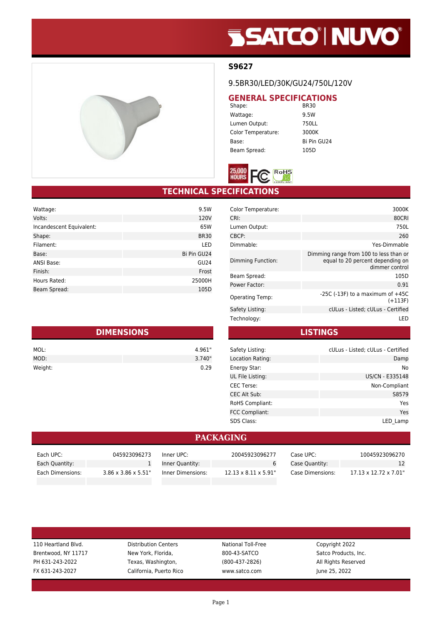# **SSATCO' NUVO'**



9.5BR30/LED/30K/GU24/750L/120V

## **GENERAL SPECIFICATIONS**<br>BR30

Shape: Wattage: 9.5W Lumen Output: 750LL Color Temperature: 3000K Base: Bi Pin GU24 Beam Spread: 105D



### **TECHNICAL SPECIFICATIONS**

| 120V<br>Volts:<br>Incandescent Equivalent:<br>65W<br>Shape:<br><b>BR30</b><br>Filament:<br>LED |
|------------------------------------------------------------------------------------------------|
|                                                                                                |
|                                                                                                |
|                                                                                                |
|                                                                                                |
| Bi Pin GU24<br>Base:                                                                           |
| <b>ANSI Base:</b><br>GU24                                                                      |
| Finish:<br>Frost                                                                               |
| Hours Rated:<br>25000H                                                                         |
| Beam Spread:<br>105D                                                                           |

| <b>DIMENSIONS</b> |        |  |
|-------------------|--------|--|
| MOL:              | 4.961" |  |
| MOD:              | 3.740" |  |
| Weight:           | 0.29   |  |

| Color Temperature:     | 3000K                                                                                        |
|------------------------|----------------------------------------------------------------------------------------------|
| CRI:                   | 80CRI                                                                                        |
| Lumen Output:          | 750L                                                                                         |
| CBCP:                  | 260                                                                                          |
| Dimmable:              | Yes-Dimmable                                                                                 |
| Dimming Function:      | Dimming range from 100 to less than or<br>equal to 20 percent depending on<br>dimmer control |
| Beam Spread:           | 105D                                                                                         |
| Power Factor:          | 0.91                                                                                         |
| <b>Operating Temp:</b> | -25C (-13F) to a maximum of $+45C$<br>(+113F)                                                |
| Safety Listing:        | cULus - Listed; cULus - Certified                                                            |
| Technology:            | I FD                                                                                         |

**LISTINGS**

| Safety Listing:   | cULus - Listed; cULus - Certified |
|-------------------|-----------------------------------|
| Location Rating:  | Damp                              |
| Energy Star:      | No.                               |
| UL File Listing:  | US/CN - E335148                   |
| <b>CEC Terse:</b> | Non-Compliant                     |
| CEC Alt Sub:      | S8579                             |
| RoHS Compliant:   | Yes                               |
| FCC Compliant:    | Yes                               |
| <b>SDS Class:</b> | LED Lamp                          |

#### **PACKAGING**

| Each UPC:        | 045923096273                     | Inner UPC:        | 20045923096277                    | Case UPC:        | 10045923096270                     |
|------------------|----------------------------------|-------------------|-----------------------------------|------------------|------------------------------------|
| Each Quantity:   |                                  | Inner Quantity:   |                                   | Case Quantity:   |                                    |
| Each Dimensions: | $3.86 \times 3.86 \times 5.51$ " | Inner Dimensions: | $12.13 \times 8.11 \times 5.91$ " | Case Dimensions: | $17.13 \times 12.72 \times 7.01$ " |

| 110 Heartland Blvd. |
|---------------------|
| Brentwood, NY 11717 |
| PH 631-243-2022     |
| FX 631-243-2027     |

Distribution Centers **National Toll-Free** Copyright 2022 New York, Florida, Satco Products, Inc. 600-43-SATCO Satco Products, Inc. Texas, Washington, Texas, Washington, 2800-437-2826) All Rights Reserved California, Puerto Rico www.satco.com June 25, 2022